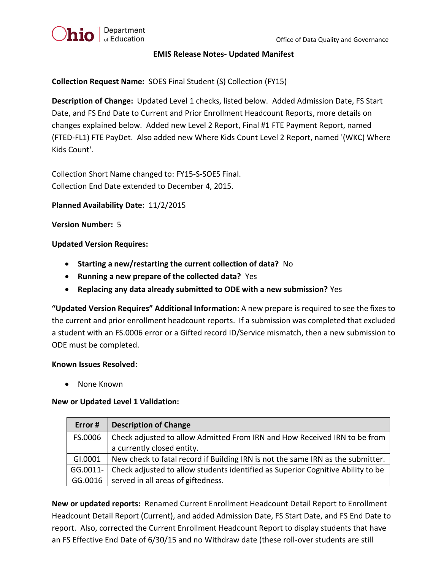

## **EMIS Release Notes- Updated Manifest**

**Collection Request Name:** SOES Final Student (S) Collection (FY15)

**Description of Change:** Updated Level 1 checks, listed below. Added Admission Date, FS Start Date, and FS End Date to Current and Prior Enrollment Headcount Reports, more details on changes explained below. Added new Level 2 Report, Final #1 FTE Payment Report, named (FTED-FL1) FTE PayDet. Also added new Where Kids Count Level 2 Report, named '(WKC) Where Kids Count'.

Collection Short Name changed to: FY15-S-SOES Final. Collection End Date extended to December 4, 2015.

**Planned Availability Date:** 11/2/2015

# **Version Number:** 5

# **Updated Version Requires:**

- **Starting a new/restarting the current collection of data?** No
- **Running a new prepare of the collected data?** Yes
- **Replacing any data already submitted to ODE with a new submission?** Yes

**"Updated Version Requires" Additional Information:** A new prepare is required to see the fixes to the current and prior enrollment headcount reports. If a submission was completed that excluded a student with an FS.0006 error or a Gifted record ID/Service mismatch, then a new submission to ODE must be completed.

# **Known Issues Resolved:**

• None Known

# **New or Updated Level 1 Validation:**

| Error #     | <b>Description of Change</b>                                                                            |
|-------------|---------------------------------------------------------------------------------------------------------|
| FS.0006     | Check adjusted to allow Admitted From IRN and How Received IRN to be from<br>a currently closed entity. |
| GI.0001     | New check to fatal record if Building IRN is not the same IRN as the submitter.                         |
|             |                                                                                                         |
| $GG.0011 -$ | Check adjusted to allow students identified as Superior Cognitive Ability to be                         |
|             | GG.0016   served in all areas of giftedness.                                                            |

**New or updated reports:** Renamed Current Enrollment Headcount Detail Report to Enrollment Headcount Detail Report (Current), and added Admission Date, FS Start Date, and FS End Date to report. Also, corrected the Current Enrollment Headcount Report to display students that have an FS Effective End Date of 6/30/15 and no Withdraw date (these roll-over students are still